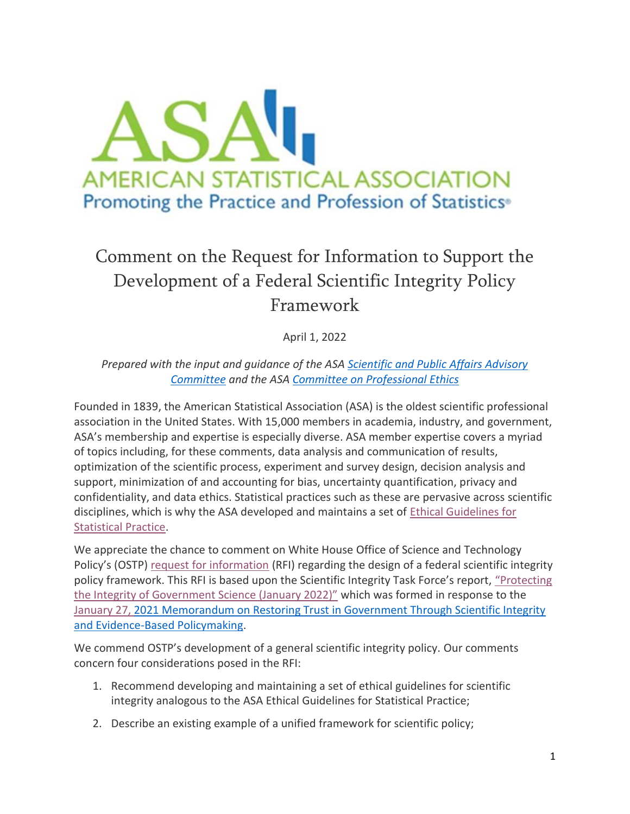

# Comment on the Request for Information to Support the Development of a Federal Scientific Integrity Policy Framework

April 1, 2022

*Prepared with the input and guidance of the ASA [Scientific and Public Affairs Advisory](https://ww2.amstat.org/committees/commdetails.cfm?txtComm=CCNPRO06)  [Committee](https://ww2.amstat.org/committees/commdetails.cfm?txtComm=CCNPRO06) and the ASA [Committee on Professional Ethics](https://ww2.amstat.org/committees/commdetails.cfm?txtComm=CCNPRO03)*

Founded in 1839, the American Statistical Association (ASA) is the oldest scientific professional association in the United States. With 15,000 members in academia, industry, and government, ASA's membership and expertise is especially diverse. ASA member expertise covers a myriad of topics including, for these comments, data analysis and communication of results, optimization of the scientific process, experiment and survey design, decision analysis and support, minimization of and accounting for bias, uncertainty quantification, privacy and confidentiality, and data ethics. Statistical practices such as these are pervasive across scientific disciplines, which is why the ASA developed and maintains a set of [Ethical Guidelines for](https://www.amstat.org/your-career/ethical-guidelines-for-statistical-practice)  [Statistical Practice.](https://www.amstat.org/your-career/ethical-guidelines-for-statistical-practice)

We appreciate the chance to comment on White House Office of Science and Technology Policy's (OSTP) [request for information](https://www.federalregister.gov/documents/2022/03/03/2022-04466/request-for-information-to-support-the-development-of-a-federal-scientific-integrity-policy) (RFI) regarding the design of a federal scientific integrity policy framework. This RFI is based upon the Scientific Integrity Task Force's report, ["Protecting](https://www.whitehouse.gov/wp-content/uploads/2022/01/01-22-Protecting_the_Integrity_of_Government_Science.pdf)  [the Integrity of Government Science \(January 2022\)"](https://www.whitehouse.gov/wp-content/uploads/2022/01/01-22-Protecting_the_Integrity_of_Government_Science.pdf) which was formed in response to the [January 27, 2021](https://www.whitehouse.gov/briefing-room/presidential-actions/2021/01/27/memorandum-on-restoring-trust-in-government-through-scientific-integrity-and-evidence-based-policymaking/) [Memorandum on Restoring Trust in Government Through Scientific Integrity](https://www.whitehouse.gov/briefing-room/presidential-actions/2021/01/27/memorandum-on-restoring-trust-in-government-through-scientific-integrity-and-evidence-based-policymaking/)  [and Evidence-Based Policymaking.](https://www.whitehouse.gov/briefing-room/presidential-actions/2021/01/27/memorandum-on-restoring-trust-in-government-through-scientific-integrity-and-evidence-based-policymaking/)

We commend OSTP's development of a general scientific integrity policy. Our comments concern four considerations posed in the RFI:

- 1. Recommend developing and maintaining a set of ethical guidelines for scientific integrity analogous to the ASA Ethical Guidelines for Statistical Practice;
- 2. Describe an existing example of a unified framework for scientific policy;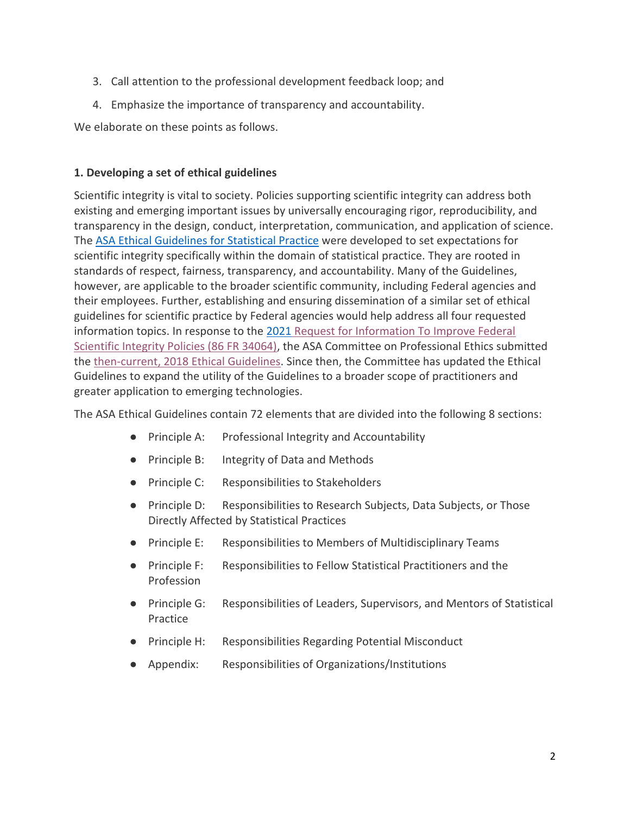- 3. Call attention to the professional development feedback loop; and
- 4. Emphasize the importance of transparency and accountability.

We elaborate on these points as follows.

## **1. Developing a set of ethical guidelines**

Scientific integrity is vital to society. Policies supporting scientific integrity can address both existing and emerging important issues by universally encouraging rigor, reproducibility, and transparency in the design, conduct, interpretation, communication, and application of science. The [ASA Ethical Guidelines for Statistical Practice](https://www.amstat.org/your-career/ethical-guidelines-for-statistical-practice) were developed to set expectations for scientific integrity specifically within the domain of statistical practice. They are rooted in standards of respect, fairness, transparency, and accountability. Many of the Guidelines, however, are applicable to the broader scientific community, including Federal agencies and their employees. Further, establishing and ensuring dissemination of a similar set of ethical guidelines for scientific practice by Federal agencies would help address all four requested information topics. In response to the [2021](https://www.federalregister.gov/documents/2021/06/28/2021-13640/request-for-information-to-improve-federal-scientific-integrity-policies) [Request for Information To Improve Federal](https://www.federalregister.gov/documents/2021/06/28/2021-13640/request-for-information-to-improve-federal-scientific-integrity-policies)  [Scientific Integrity Policies \(86 FR 34064\),](https://www.federalregister.gov/documents/2021/06/28/2021-13640/request-for-information-to-improve-federal-scientific-integrity-policies) the ASA Committee on Professional Ethics submitted the [then-current, 2018](https://www.amstat.org/docs/default-source/amstat-documents/pol-cope_scientificintegritycomments.pdf) Ethical Guidelines. Since then, the Committee has updated the Ethical Guidelines to expand the utility of the Guidelines to a broader scope of practitioners and greater application to emerging technologies.

The ASA Ethical Guidelines contain 72 elements that are divided into the following 8 sections:

- Principle A: Professional Integrity and Accountability
- Principle B: Integrity of Data and Methods
- Principle C: Responsibilities to Stakeholders
- Principle D: Responsibilities to Research Subjects, Data Subjects, or Those Directly Affected by Statistical Practices
- Principle E: Responsibilities to Members of Multidisciplinary Teams
- Principle F: Responsibilities to Fellow Statistical Practitioners and the Profession
- Principle G: Responsibilities of Leaders, Supervisors, and Mentors of Statistical Practice
- Principle H: Responsibilities Regarding Potential Misconduct
- Appendix: Responsibilities of Organizations/Institutions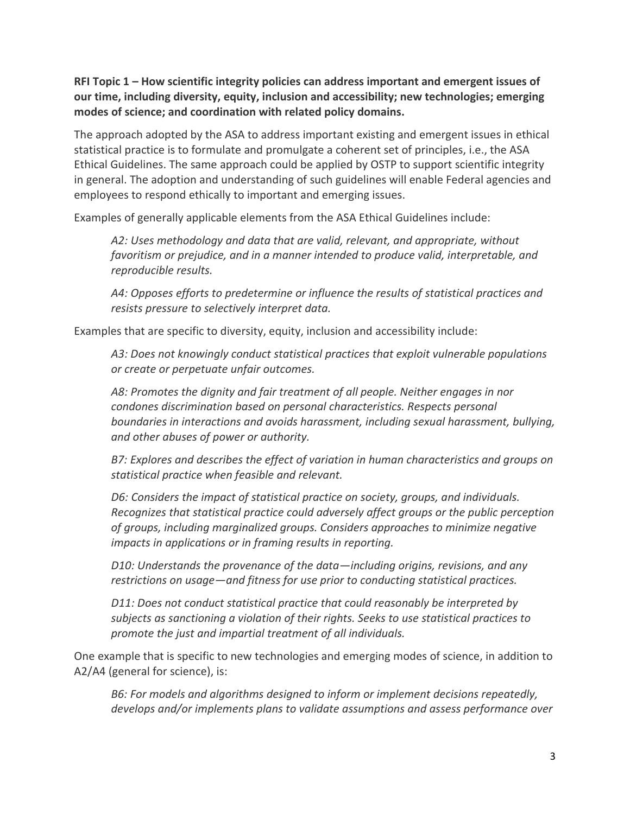**RFI Topic 1 – How scientific integrity policies can address important and emergent issues of our time, including diversity, equity, inclusion and accessibility; new technologies; emerging modes of science; and coordination with related policy domains.**

The approach adopted by the ASA to address important existing and emergent issues in ethical statistical practice is to formulate and promulgate a coherent set of principles, i.e., the ASA Ethical Guidelines. The same approach could be applied by OSTP to support scientific integrity in general. The adoption and understanding of such guidelines will enable Federal agencies and employees to respond ethically to important and emerging issues.

Examples of generally applicable elements from the ASA Ethical Guidelines include:

*A2: Uses methodology and data that are valid, relevant, and appropriate, without favoritism or prejudice, and in a manner intended to produce valid, interpretable, and reproducible results.* 

*A4: Opposes efforts to predetermine or influence the results of statistical practices and resists pressure to selectively interpret data.*

Examples that are specific to diversity, equity, inclusion and accessibility include:

*A3: Does not knowingly conduct statistical practices that exploit vulnerable populations or create or perpetuate unfair outcomes.*

*A8: Promotes the dignity and fair treatment of all people. Neither engages in nor condones discrimination based on personal characteristics. Respects personal boundaries in interactions and avoids harassment, including sexual harassment, bullying, and other abuses of power or authority.*

*B7: Explores and describes the effect of variation in human characteristics and groups on statistical practice when feasible and relevant.*

*D6: Considers the impact of statistical practice on society, groups, and individuals. Recognizes that statistical practice could adversely affect groups or the public perception of groups, including marginalized groups. Considers approaches to minimize negative impacts in applications or in framing results in reporting.*

*D10: Understands the provenance of the data—including origins, revisions, and any restrictions on usage—and fitness for use prior to conducting statistical practices.*

*D11: Does not conduct statistical practice that could reasonably be interpreted by subjects as sanctioning a violation of their rights. Seeks to use statistical practices to promote the just and impartial treatment of all individuals.*

One example that is specific to new technologies and emerging modes of science, in addition to A2/A4 (general for science), is:

*B6: For models and algorithms designed to inform or implement decisions repeatedly, develops and/or implements plans to validate assumptions and assess performance over*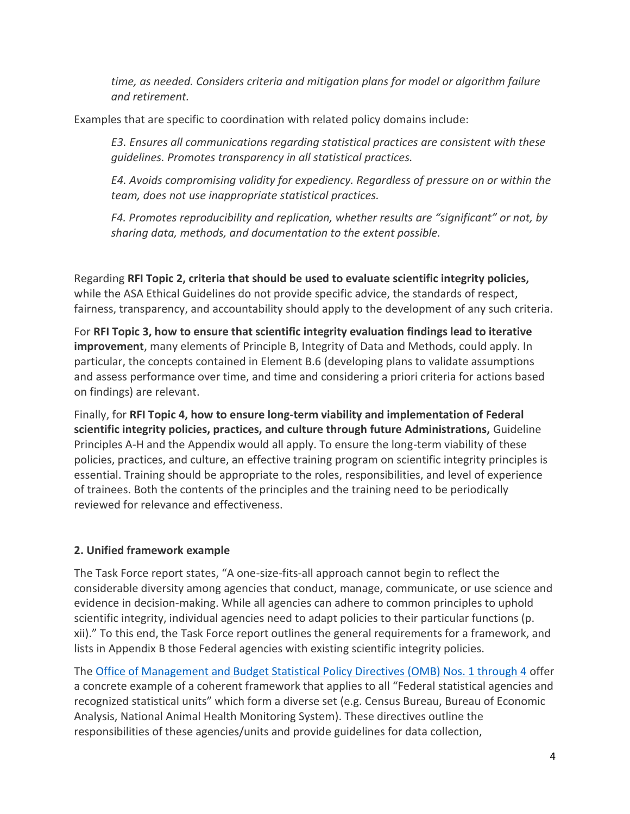*time, as needed. Considers criteria and mitigation plans for model or algorithm failure and retirement.*

Examples that are specific to coordination with related policy domains include:

*E3. Ensures all communications regarding statistical practices are consistent with these guidelines. Promotes transparency in all statistical practices.*

*E4. Avoids compromising validity for expediency. Regardless of pressure on or within the team, does not use inappropriate statistical practices.*

*F4. Promotes reproducibility and replication, whether results are "significant" or not, by sharing data, methods, and documentation to the extent possible.*

Regarding **RFI Topic 2, criteria that should be used to evaluate scientific integrity policies,** while the ASA Ethical Guidelines do not provide specific advice, the standards of respect, fairness, transparency, and accountability should apply to the development of any such criteria.

For **RFI Topic 3, how to ensure that scientific integrity evaluation findings lead to iterative improvement**, many elements of Principle B, Integrity of Data and Methods, could apply. In particular, the concepts contained in Element B.6 (developing plans to validate assumptions and assess performance over time, and time and considering a priori criteria for actions based on findings) are relevant.

Finally, for **RFI Topic 4, how to ensure long-term viability and implementation of Federal scientific integrity policies, practices, and culture through future Administrations,** Guideline Principles A-H and the Appendix would all apply. To ensure the long-term viability of these policies, practices, and culture, an effective training program on scientific integrity principles is essential. Training should be appropriate to the roles, responsibilities, and level of experience of trainees. Both the contents of the principles and the training need to be periodically reviewed for relevance and effectiveness.

# **2. Unified framework example**

The Task Force report states, "A one-size-fits-all approach cannot begin to reflect the considerable diversity among agencies that conduct, manage, communicate, or use science and evidence in decision-making. While all agencies can adhere to common principles to uphold scientific integrity, individual agencies need to adapt policies to their particular functions (p. xii)." To this end, the Task Force report outlines the general requirements for a framework, and lists in Appendix B those Federal agencies with existing scientific integrity policies.

The [Office of Management and Budget Statistical Policy Directives \(OMB\) Nos. 1 through 4](https://www.whitehouse.gov/omb/information-regulatory-affairs/statistical-programs-standards/) offer a concrete example of a coherent framework that applies to all "Federal statistical agencies and recognized statistical units" which form a diverse set (e.g. Census Bureau, Bureau of Economic Analysis, National Animal Health Monitoring System). These directives outline the responsibilities of these agencies/units and provide guidelines for data collection,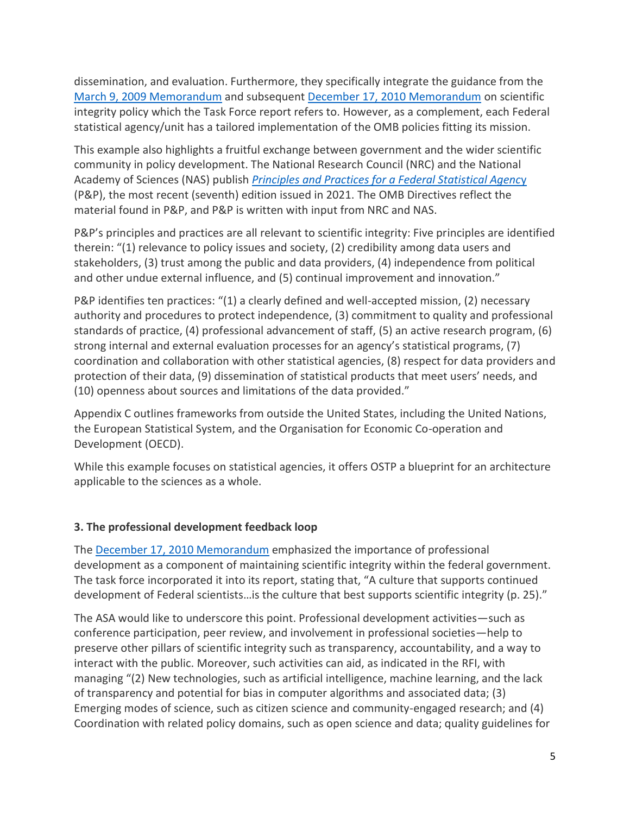dissemination, and evaluation. Furthermore, they specifically integrate the guidance from the [March 9, 2009 Memorandum](https://obamawhitehouse.archives.gov/the-press-office/memorandum-heads-executive-departments-and-agencies-3-9-09) and subsequent December 17, [2010 Memorandum](https://obamawhitehouse.archives.gov/sites/default/files/microsites/ostp/scientific-integrity-memo-12172010.pdf) on scientific integrity policy which the Task Force report refers to. However, as a complement, each Federal statistical agency/unit has a tailored implementation of the OMB policies fitting its mission.

This example also highlights a fruitful exchange between government and the wider scientific community in policy development. The National Research Council (NRC) and the National Academy of Sciences (NAS) publish *[Principles and Practices for a Federal Statistical Agenc](https://nap.nationalacademies.org/catalog/25885/principles-and-practices-for-a-federal-statistical-agency-seventh-edition)*[y](https://nap.nationalacademies.org/catalog/25885/principles-and-practices-for-a-federal-statistical-agency-seventh-edition) (P&P), the most recent (seventh) edition issued in 2021. The OMB Directives reflect the material found in P&P, and P&P is written with input from NRC and NAS.

P&P's principles and practices are all relevant to scientific integrity: Five principles are identified therein: "(1) relevance to policy issues and society, (2) credibility among data users and stakeholders, (3) trust among the public and data providers, (4) independence from political and other undue external influence, and (5) continual improvement and innovation."

P&P identifies ten practices: "(1) a clearly defined and well-accepted mission, (2) necessary authority and procedures to protect independence, (3) commitment to quality and professional standards of practice, (4) professional advancement of staff, (5) an active research program, (6) strong internal and external evaluation processes for an agency's statistical programs, (7) coordination and collaboration with other statistical agencies, (8) respect for data providers and protection of their data, (9) dissemination of statistical products that meet users' needs, and (10) openness about sources and limitations of the data provided."

Appendix C outlines frameworks from outside the United States, including the United Nations, the European Statistical System, and the Organisation for Economic Co-operation and Development (OECD).

While this example focuses on statistical agencies, it offers OSTP a blueprint for an architecture applicable to the sciences as a whole.

#### **3. The professional development feedback loop**

The [December 17, 2010](https://obamawhitehouse.archives.gov/sites/default/files/microsites/ostp/scientific-integrity-memo-12172010.pdf) [Memorandum](https://obamawhitehouse.archives.gov/sites/default/files/microsites/ostp/scientific-integrity-memo-12172010.pdf) emphasized the importance of professional development as a component of maintaining scientific integrity within the federal government. The task force incorporated it into its report, stating that, "A culture that supports continued development of Federal scientists…is the culture that best supports scientific integrity (p. 25)."

The ASA would like to underscore this point. Professional development activities—such as conference participation, peer review, and involvement in professional societies—help to preserve other pillars of scientific integrity such as transparency, accountability, and a way to interact with the public. Moreover, such activities can aid, as indicated in the RFI, with managing "(2) New technologies, such as artificial intelligence, machine learning, and the lack of transparency and potential for bias in computer algorithms and associated data; (3) Emerging modes of science, such as citizen science and community-engaged research; and (4) Coordination with related policy domains, such as open science and data; quality guidelines for